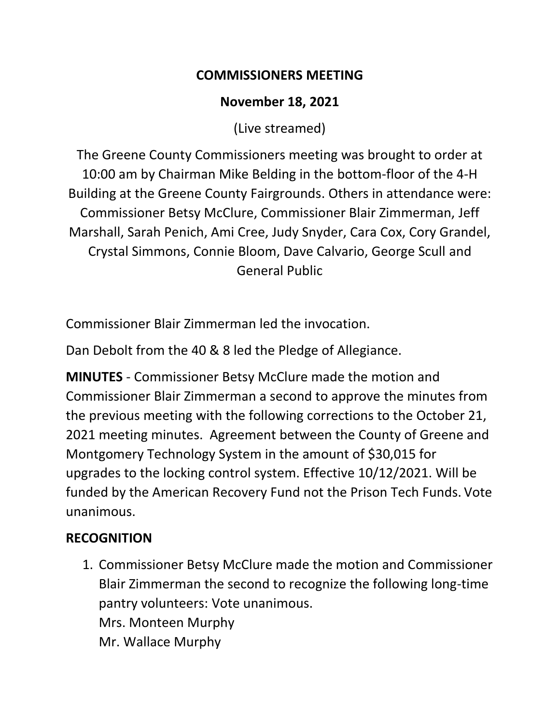#### **COMMISSIONERS MEETING**

## **November 18, 2021**

(Live streamed)

The Greene County Commissioners meeting was brought to order at 10:00 am by Chairman Mike Belding in the bottom-floor of the 4-H Building at the Greene County Fairgrounds. Others in attendance were: Commissioner Betsy McClure, Commissioner Blair Zimmerman, Jeff Marshall, Sarah Penich, Ami Cree, Judy Snyder, Cara Cox, Cory Grandel, Crystal Simmons, Connie Bloom, Dave Calvario, George Scull and General Public

Commissioner Blair Zimmerman led the invocation.

Dan Debolt from the 40 & 8 led the Pledge of Allegiance.

**MINUTES** - Commissioner Betsy McClure made the motion and Commissioner Blair Zimmerman a second to approve the minutes from the previous meeting with the following corrections to the October 21, 2021 meeting minutes. Agreement between the County of Greene and Montgomery Technology System in the amount of \$30,015 for upgrades to the locking control system. Effective 10/12/2021. Will be funded by the American Recovery Fund not the Prison Tech Funds. Vote unanimous.

## **RECOGNITION**

1. Commissioner Betsy McClure made the motion and Commissioner Blair Zimmerman the second to recognize the following long-time pantry volunteers: Vote unanimous. Mrs. Monteen Murphy Mr. Wallace Murphy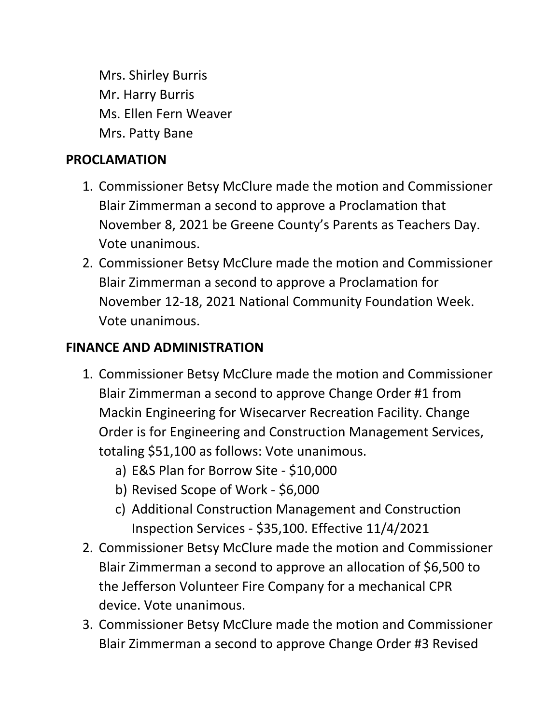Mrs. Shirley Burris Mr. Harry Burris Ms. Ellen Fern Weaver Mrs. Patty Bane

#### **PROCLAMATION**

- 1. Commissioner Betsy McClure made the motion and Commissioner Blair Zimmerman a second to approve a Proclamation that November 8, 2021 be Greene County's Parents as Teachers Day. Vote unanimous.
- 2. Commissioner Betsy McClure made the motion and Commissioner Blair Zimmerman a second to approve a Proclamation for November 12-18, 2021 National Community Foundation Week. Vote unanimous.

### **FINANCE AND ADMINISTRATION**

- 1. Commissioner Betsy McClure made the motion and Commissioner Blair Zimmerman a second to approve Change Order #1 from Mackin Engineering for Wisecarver Recreation Facility. Change Order is for Engineering and Construction Management Services, totaling \$51,100 as follows: Vote unanimous.
	- a) E&S Plan for Borrow Site \$10,000
	- b) Revised Scope of Work \$6,000
	- c) Additional Construction Management and Construction Inspection Services - \$35,100. Effective 11/4/2021
- 2. Commissioner Betsy McClure made the motion and Commissioner Blair Zimmerman a second to approve an allocation of \$6,500 to the Jefferson Volunteer Fire Company for a mechanical CPR device. Vote unanimous.
- 3. Commissioner Betsy McClure made the motion and Commissioner Blair Zimmerman a second to approve Change Order #3 Revised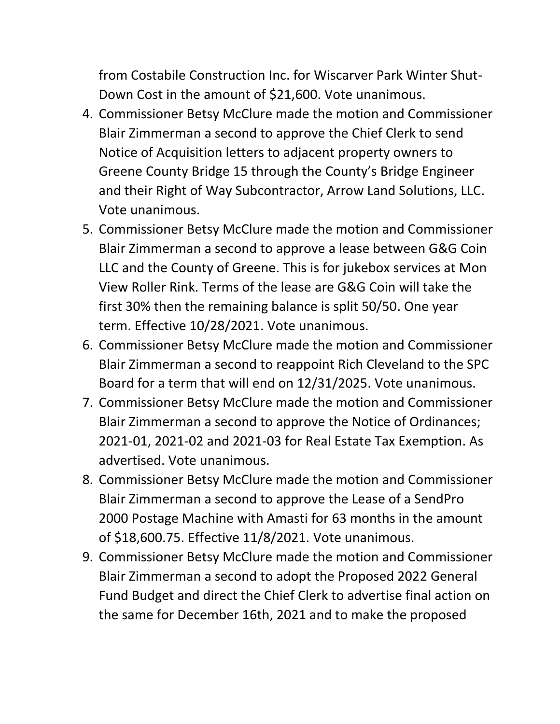from Costabile Construction Inc. for Wiscarver Park Winter Shut-Down Cost in the amount of \$21,600. Vote unanimous.

- 4. Commissioner Betsy McClure made the motion and Commissioner Blair Zimmerman a second to approve the Chief Clerk to send Notice of Acquisition letters to adjacent property owners to Greene County Bridge 15 through the County's Bridge Engineer and their Right of Way Subcontractor, Arrow Land Solutions, LLC. Vote unanimous.
- 5. Commissioner Betsy McClure made the motion and Commissioner Blair Zimmerman a second to approve a lease between G&G Coin LLC and the County of Greene. This is for jukebox services at Mon View Roller Rink. Terms of the lease are G&G Coin will take the first 30% then the remaining balance is split 50/50. One year term. Effective 10/28/2021. Vote unanimous.
- 6. Commissioner Betsy McClure made the motion and Commissioner Blair Zimmerman a second to reappoint Rich Cleveland to the SPC Board for a term that will end on 12/31/2025. Vote unanimous.
- 7. Commissioner Betsy McClure made the motion and Commissioner Blair Zimmerman a second to approve the Notice of Ordinances; 2021-01, 2021-02 and 2021-03 for Real Estate Tax Exemption. As advertised. Vote unanimous.
- 8. Commissioner Betsy McClure made the motion and Commissioner Blair Zimmerman a second to approve the Lease of a SendPro 2000 Postage Machine with Amasti for 63 months in the amount of \$18,600.75. Effective 11/8/2021. Vote unanimous.
- 9. Commissioner Betsy McClure made the motion and Commissioner Blair Zimmerman a second to adopt the Proposed 2022 General Fund Budget and direct the Chief Clerk to advertise final action on the same for December 16th, 2021 and to make the proposed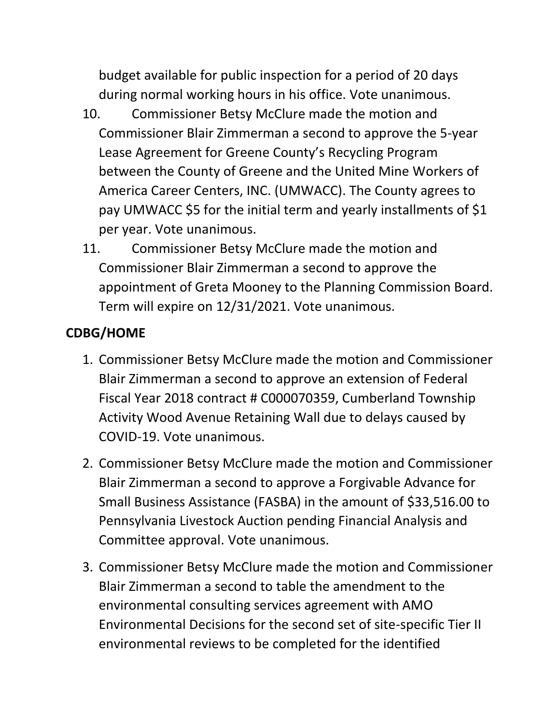budget available for public inspection for a period of 20 days during normal working hours in his office. Vote unanimous.

- 10. Commissioner Betsy McClure made the motion and Commissioner Blair Zimmerman a second to approve the 5-year Lease Agreement for Greene County's Recycling Program between the County of Greene and the United Mine Workers of America Career Centers, INC. (UMWACC). The County agrees to pay UMWACC \$5 for the initial term and yearly installments of \$1 per year. Vote unanimous.
- 11. Commissioner Betsy McClure made the motion and Commissioner Blair Zimmerman a second to approve the appointment of Greta Mooney to the Planning Commission Board. Term will expire on 12/31/2021. Vote unanimous.

# **CDBG/HOME**

- 1. Commissioner Betsy McClure made the motion and Commissioner Blair Zimmerman a second to approve an extension of Federal Fiscal Year 2018 contract # C000070359, Cumberland Township Activity Wood Avenue Retaining Wall due to delays caused by COVID-19. Vote unanimous.
- 2. Commissioner Betsy McClure made the motion and Commissioner Blair Zimmerman a second to approve a Forgivable Advance for Small Business Assistance (FASBA) in the amount of \$33,516.00 to Pennsylvania Livestock Auction pending Financial Analysis and Committee approval. Vote unanimous.
- 3. Commissioner Betsy McClure made the motion and Commissioner Blair Zimmerman a second to table the amendment to the environmental consulting services agreement with AMO Environmental Decisions for the second set of site-specific Tier II environmental reviews to be completed for the identified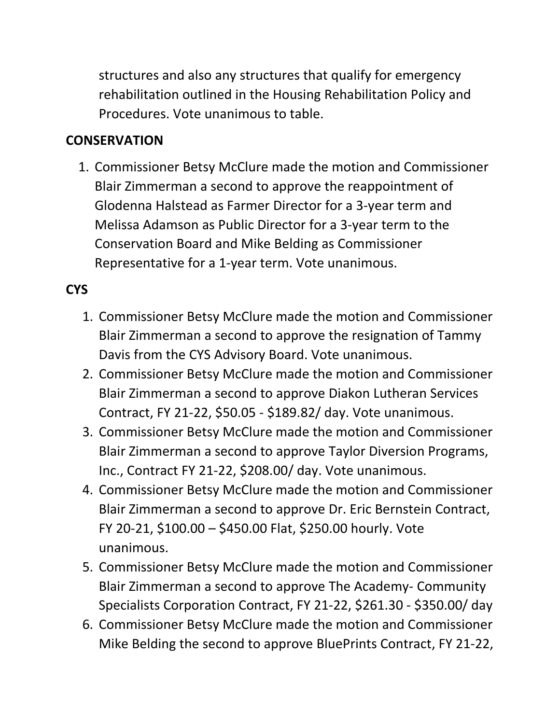structures and also any structures that qualify for emergency rehabilitation outlined in the Housing Rehabilitation Policy and Procedures. Vote unanimous to table.

### **CONSERVATION**

1. Commissioner Betsy McClure made the motion and Commissioner Blair Zimmerman a second to approve the reappointment of Glodenna Halstead as Farmer Director for a 3-year term and Melissa Adamson as Public Director for a 3-year term to the Conservation Board and Mike Belding as Commissioner Representative for a 1-year term. Vote unanimous.

# **CYS**

- 1. Commissioner Betsy McClure made the motion and Commissioner Blair Zimmerman a second to approve the resignation of Tammy Davis from the CYS Advisory Board. Vote unanimous.
- 2. Commissioner Betsy McClure made the motion and Commissioner Blair Zimmerman a second to approve Diakon Lutheran Services Contract, FY 21-22, \$50.05 - \$189.82/ day. Vote unanimous.
- 3. Commissioner Betsy McClure made the motion and Commissioner Blair Zimmerman a second to approve Taylor Diversion Programs, Inc., Contract FY 21-22, \$208.00/ day. Vote unanimous.
- 4. Commissioner Betsy McClure made the motion and Commissioner Blair Zimmerman a second to approve Dr. Eric Bernstein Contract, FY 20-21, \$100.00 – \$450.00 Flat, \$250.00 hourly. Vote unanimous.
- 5. Commissioner Betsy McClure made the motion and Commissioner Blair Zimmerman a second to approve The Academy- Community Specialists Corporation Contract, FY 21-22, \$261.30 - \$350.00/ day
- 6. Commissioner Betsy McClure made the motion and Commissioner Mike Belding the second to approve BluePrints Contract, FY 21-22,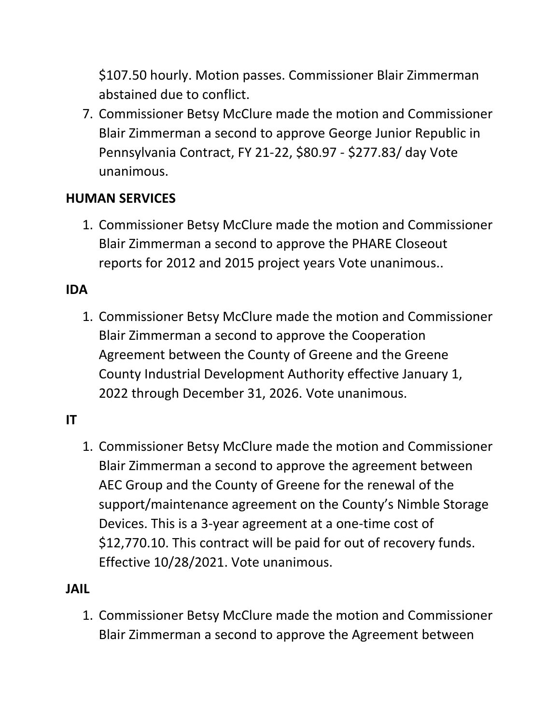\$107.50 hourly. Motion passes. Commissioner Blair Zimmerman abstained due to conflict.

7. Commissioner Betsy McClure made the motion and Commissioner Blair Zimmerman a second to approve George Junior Republic in Pennsylvania Contract, FY 21-22, \$80.97 - \$277.83/ day Vote unanimous.

### **HUMAN SERVICES**

1. Commissioner Betsy McClure made the motion and Commissioner Blair Zimmerman a second to approve the PHARE Closeout reports for 2012 and 2015 project years Vote unanimous..

### **IDA**

1. Commissioner Betsy McClure made the motion and Commissioner Blair Zimmerman a second to approve the Cooperation Agreement between the County of Greene and the Greene County Industrial Development Authority effective January 1, 2022 through December 31, 2026. Vote unanimous.

#### **IT**

1. Commissioner Betsy McClure made the motion and Commissioner Blair Zimmerman a second to approve the agreement between AEC Group and the County of Greene for the renewal of the support/maintenance agreement on the County's Nimble Storage Devices. This is a 3-year agreement at a one-time cost of \$12,770.10. This contract will be paid for out of recovery funds. Effective 10/28/2021. Vote unanimous.

#### **JAIL**

1. Commissioner Betsy McClure made the motion and Commissioner Blair Zimmerman a second to approve the Agreement between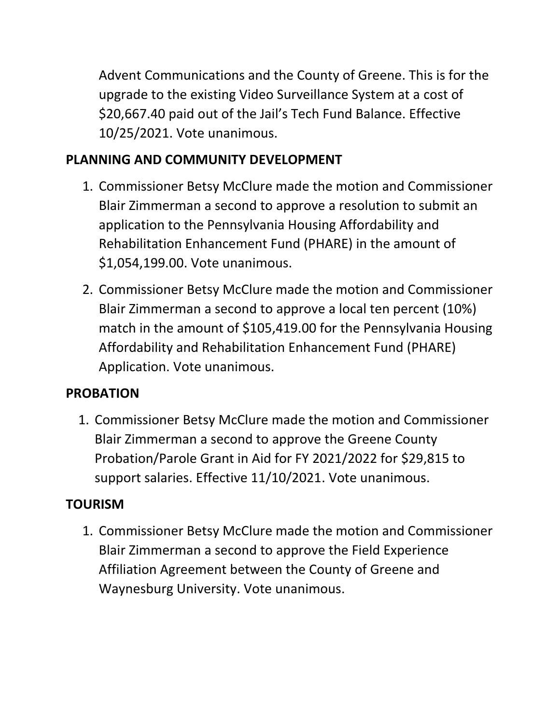Advent Communications and the County of Greene. This is for the upgrade to the existing Video Surveillance System at a cost of \$20,667.40 paid out of the Jail's Tech Fund Balance. Effective 10/25/2021. Vote unanimous.

# **PLANNING AND COMMUNITY DEVELOPMENT**

- 1. Commissioner Betsy McClure made the motion and Commissioner Blair Zimmerman a second to approve a resolution to submit an application to the Pennsylvania Housing Affordability and Rehabilitation Enhancement Fund (PHARE) in the amount of \$1,054,199.00. Vote unanimous.
- 2. Commissioner Betsy McClure made the motion and Commissioner Blair Zimmerman a second to approve a local ten percent (10%) match in the amount of \$105,419.00 for the Pennsylvania Housing Affordability and Rehabilitation Enhancement Fund (PHARE) Application. Vote unanimous.

## **PROBATION**

1. Commissioner Betsy McClure made the motion and Commissioner Blair Zimmerman a second to approve the Greene County Probation/Parole Grant in Aid for FY 2021/2022 for \$29,815 to support salaries. Effective 11/10/2021. Vote unanimous.

# **TOURISM**

1. Commissioner Betsy McClure made the motion and Commissioner Blair Zimmerman a second to approve the Field Experience Affiliation Agreement between the County of Greene and Waynesburg University. Vote unanimous.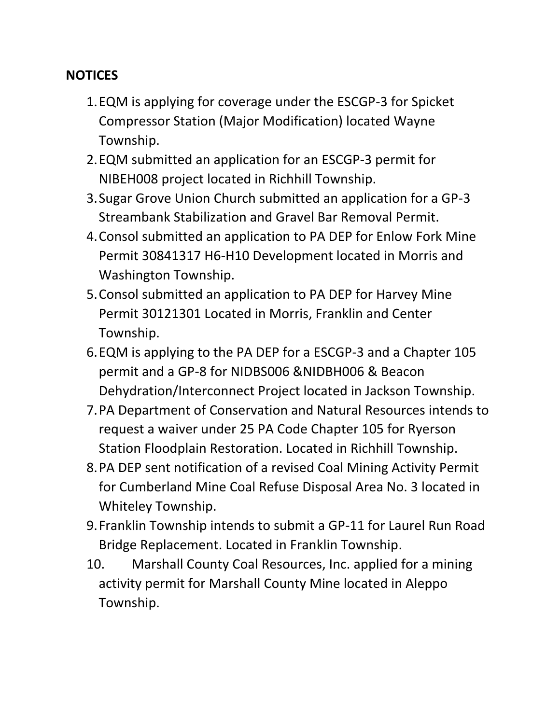#### **NOTICES**

- 1.EQM is applying for coverage under the ESCGP-3 for Spicket Compressor Station (Major Modification) located Wayne Township.
- 2.EQM submitted an application for an ESCGP-3 permit for NIBEH008 project located in Richhill Township.
- 3.Sugar Grove Union Church submitted an application for a GP-3 Streambank Stabilization and Gravel Bar Removal Permit.
- 4.Consol submitted an application to PA DEP for Enlow Fork Mine Permit 30841317 H6-H10 Development located in Morris and Washington Township.
- 5.Consol submitted an application to PA DEP for Harvey Mine Permit 30121301 Located in Morris, Franklin and Center Township.
- 6.EQM is applying to the PA DEP for a ESCGP-3 and a Chapter 105 permit and a GP-8 for NIDBS006 &NIDBH006 & Beacon Dehydration/Interconnect Project located in Jackson Township.
- 7.PA Department of Conservation and Natural Resources intends to request a waiver under 25 PA Code Chapter 105 for Ryerson Station Floodplain Restoration. Located in Richhill Township.
- 8.PA DEP sent notification of a revised Coal Mining Activity Permit for Cumberland Mine Coal Refuse Disposal Area No. 3 located in Whiteley Township.
- 9.Franklin Township intends to submit a GP-11 for Laurel Run Road Bridge Replacement. Located in Franklin Township.
- 10. Marshall County Coal Resources, Inc. applied for a mining activity permit for Marshall County Mine located in Aleppo Township.